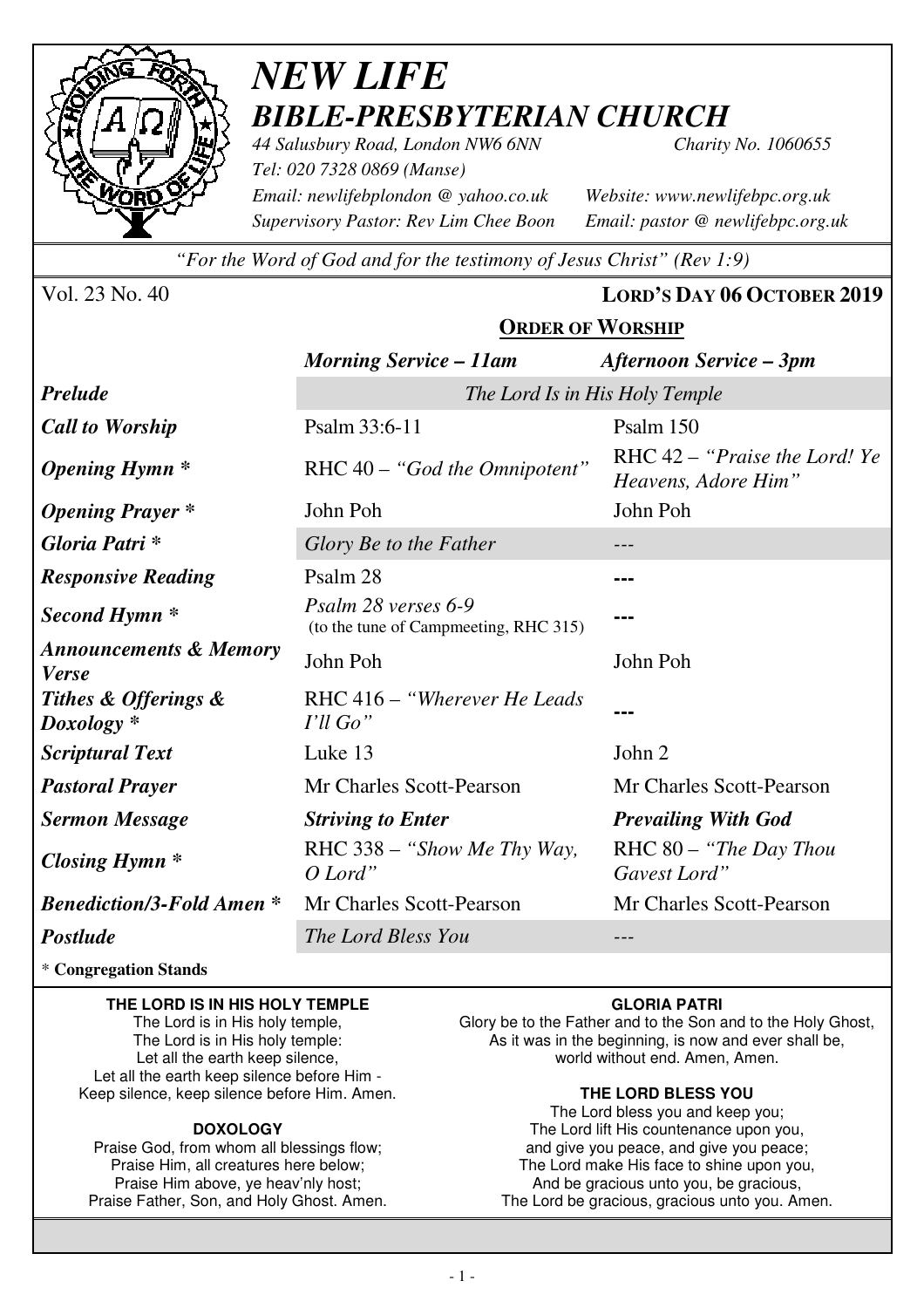

# *NEW LIFE BIBLE-PRESBYTERIAN CHURCH*

*44 Salusbury Road, London NW6 6NN Charity No. 1060655 Tel: 020 7328 0869 (Manse) Email: newlifebplondon @ yahoo.co.uk Website: www.newlifebpc.org.uk Supervisory Pastor: Rev Lim Chee Boon Email: pastor @ newlifebpc.org.uk* 

*"For the Word of God and for the testimony of Jesus Christ" (Rev 1:9)*

Vol. 23 No. 40 **LORD'S DAY 06 OCTOBER 2019**

### **ORDER OF WORSHIP**

|                                                   | <b>Morning Service - 11am</b>                                | Afternoon Service – 3pm                                |  |  |
|---------------------------------------------------|--------------------------------------------------------------|--------------------------------------------------------|--|--|
| <b>Prelude</b>                                    | The Lord Is in His Holy Temple                               |                                                        |  |  |
| <b>Call to Worship</b>                            | Psalm 33:6-11                                                | Psalm 150                                              |  |  |
| <b>Opening Hymn</b> *                             | RHC 40 - "God the Omnipotent"                                | RHC $42$ – "Praise the Lord! Ye<br>Heavens, Adore Him" |  |  |
| <b>Opening Prayer</b> *                           | John Poh                                                     | John Poh                                               |  |  |
| Gloria Patri*                                     | Glory Be to the Father                                       |                                                        |  |  |
| <b>Responsive Reading</b>                         | Psalm 28                                                     |                                                        |  |  |
| Second Hymn <sup>*</sup>                          | Psalm 28 verses 6-9<br>(to the tune of Campmeeting, RHC 315) |                                                        |  |  |
| <b>Announcements &amp; Memory</b><br><b>Verse</b> | John Poh                                                     | John Poh                                               |  |  |
| Tithes & Offerings &<br>$Doxology *$              | RHC 416 – "Wherever He Leads"<br>I'll Go"                    |                                                        |  |  |
| <b>Scriptural Text</b>                            | Luke 13                                                      | John 2                                                 |  |  |
| <b>Pastoral Prayer</b>                            | Mr Charles Scott-Pearson                                     | Mr Charles Scott-Pearson                               |  |  |
| <b>Sermon Message</b>                             | <b>Striving to Enter</b>                                     | <b>Prevailing With God</b>                             |  |  |
| <b>Closing Hymn</b> *                             | RHC 338 - "Show Me Thy Way,<br>O Lord"                       | $RHC 80 - "The Day Thom$<br>Gavest Lord"               |  |  |
| <b>Benediction/3-Fold Amen*</b>                   | Mr Charles Scott-Pearson                                     | Mr Charles Scott-Pearson                               |  |  |
| <b>Postlude</b>                                   | The Lord Bless You                                           |                                                        |  |  |

\* **Congregation Stands** 

#### **THE LORD IS IN HIS HOLY TEMPLE**

The Lord is in His holy temple, The Lord is in His holy temple: Let all the earth keep silence, Let all the earth keep silence before Him - Keep silence, keep silence before Him. Amen.

#### **DOXOLOGY**

Praise God, from whom all blessings flow; Praise Him, all creatures here below; Praise Him above, ye heav'nly host; Praise Father, Son, and Holy Ghost. Amen.

#### **GLORIA PATRI**

Glory be to the Father and to the Son and to the Holy Ghost, As it was in the beginning, is now and ever shall be, world without end. Amen, Amen.

#### **THE LORD BLESS YOU**

The Lord bless you and keep you; The Lord lift His countenance upon you, and give you peace, and give you peace; The Lord make His face to shine upon you, And be gracious unto you, be gracious, The Lord be gracious, gracious unto you. Amen.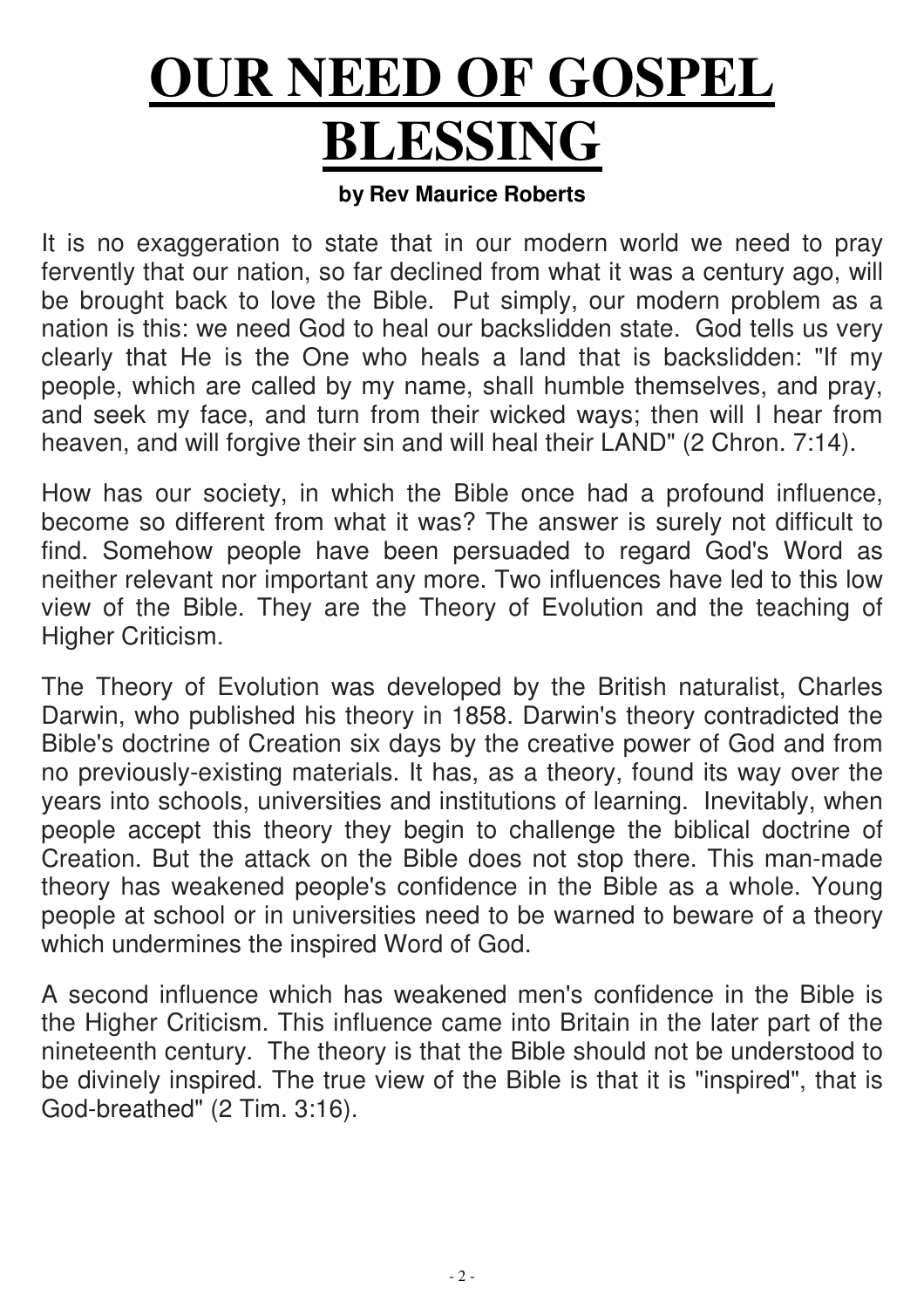# **OUR NEED OF GOSPEL BLESSING**

## **by Rev Maurice Roberts**

It is no exaggeration to state that in our modern world we need to pray fervently that our nation, so far declined from what it was a century ago, will be brought back to love the Bible. Put simply, our modern problem as a nation is this: we need God to heal our backslidden state. God tells us very clearly that He is the One who heals a land that is backslidden: "If my people, which are called by my name, shall humble themselves, and pray, and seek my face, and turn from their wicked ways; then will I hear from heaven, and will forgive their sin and will heal their LAND" (2 Chron. 7:14).

How has our society, in which the Bible once had a profound influence, become so different from what it was? The answer is surely not difficult to find. Somehow people have been persuaded to regard God's Word as neither relevant nor important any more. Two influences have led to this low view of the Bible. They are the Theory of Evolution and the teaching of Higher Criticism.

The Theory of Evolution was developed by the British naturalist, Charles Darwin, who published his theory in 1858. Darwin's theory contradicted the Bible's doctrine of Creation six days by the creative power of God and from no previously-existing materials. It has, as a theory, found its way over the years into schools, universities and institutions of learning. Inevitably, when people accept this theory they begin to challenge the biblical doctrine of Creation. But the attack on the Bible does not stop there. This man-made theory has weakened people's confidence in the Bible as a whole. Young people at school or in universities need to be warned to beware of a theory which undermines the inspired Word of God.

A second influence which has weakened men's confidence in the Bible is the Higher Criticism. This influence came into Britain in the later part of the nineteenth century. The theory is that the Bible should not be understood to be divinely inspired. The true view of the Bible is that it is "inspired", that is God-breathed" (2 Tim. 3:16).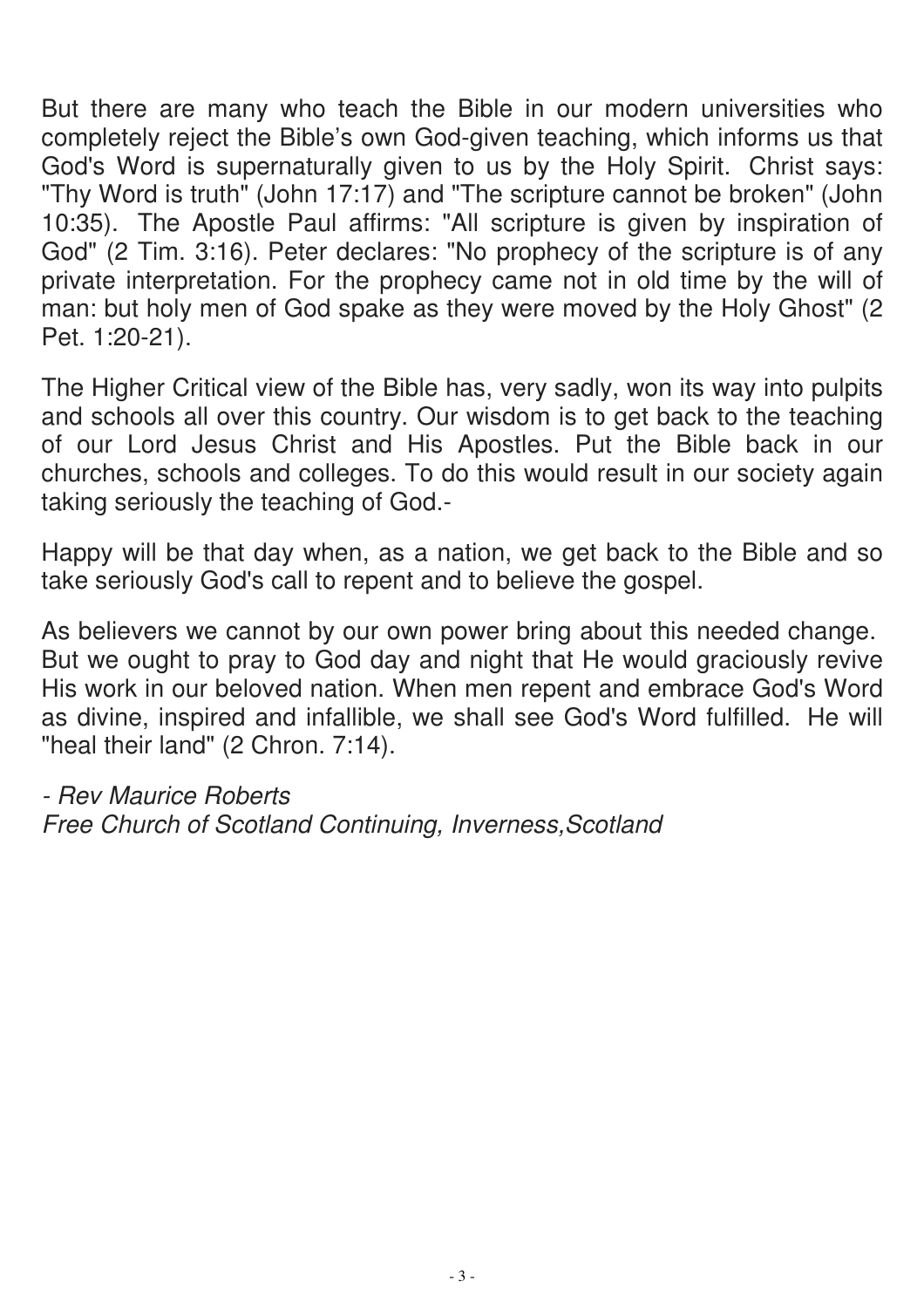But there are many who teach the Bible in our modern universities who completely reject the Bible's own God-given teaching, which informs us that God's Word is supernaturally given to us by the Holy Spirit. Christ says: "Thy Word is truth" (John 17:17) and "The scripture cannot be broken" (John 10:35). The Apostle Paul affirms: "All scripture is given by inspiration of God" (2 Tim. 3:16). Peter declares: "No prophecy of the scripture is of any private interpretation. For the prophecy came not in old time by the will of man: but holy men of God spake as they were moved by the Holy Ghost" (2) Pet. 1:20-21).

The Higher Critical view of the Bible has, very sadly, won its way into pulpits and schools all over this country. Our wisdom is to get back to the teaching of our Lord Jesus Christ and His Apostles. Put the Bible back in our churches, schools and colleges. To do this would result in our society again taking seriously the teaching of God.-

Happy will be that day when, as a nation, we get back to the Bible and so take seriously God's call to repent and to believe the gospel.

As believers we cannot by our own power bring about this needed change. But we ought to pray to God day and night that He would graciously revive His work in our beloved nation. When men repent and embrace God's Word as divine, inspired and infallible, we shall see God's Word fulfilled. He will "heal their land" (2 Chron. 7:14).

- Rev Maurice Roberts Free Church of Scotland Continuing, Inverness,Scotland